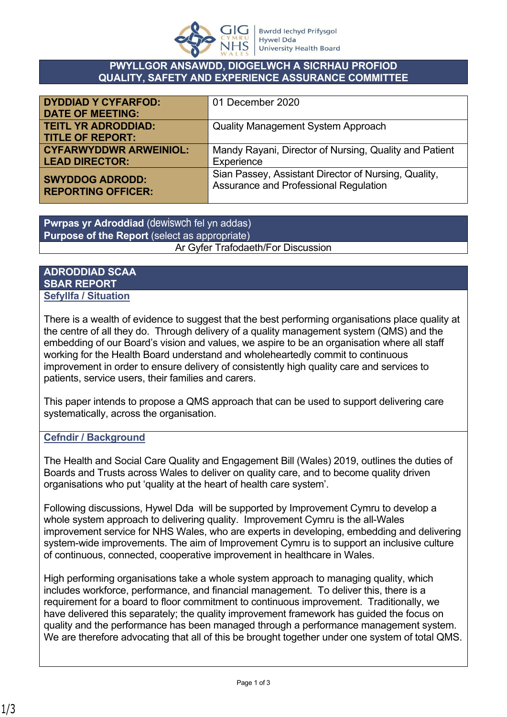

#### **PWYLLGOR ANSAWDD, DIOGELWCH A SICRHAU PROFIOD QUALITY, SAFETY AND EXPERIENCE ASSURANCE COMMITTEE**

| <b>DYDDIAD Y CYFARFOD:</b>    | 01 December 2020                                       |
|-------------------------------|--------------------------------------------------------|
| <b>DATE OF MEETING:</b>       |                                                        |
| <b>TEITL YR ADRODDIAD:</b>    | <b>Quality Management System Approach</b>              |
| <b>TITLE OF REPORT:</b>       |                                                        |
| <b>CYFARWYDDWR ARWEINIOL:</b> | Mandy Rayani, Director of Nursing, Quality and Patient |
| <b>LEAD DIRECTOR:</b>         | Experience                                             |
| <b>SWYDDOG ADRODD:</b>        | Sian Passey, Assistant Director of Nursing, Quality,   |
| <b>REPORTING OFFICER:</b>     | Assurance and Professional Regulation                  |
|                               |                                                        |

**Pwrpas yr Adroddiad** (dewiswch fel yn addas) **Purpose of the Report** (select as appropriate) Ar Gyfer Trafodaeth/For Discussion

### **ADRODDIAD SCAA SBAR REPORT Sefyllfa / Situation**

There is a wealth of evidence to suggest that the best performing organisations place quality at the centre of all they do. Through delivery of a quality management system (QMS) and the embedding of our Board's vision and values, we aspire to be an organisation where all staff working for the Health Board understand and wholeheartedly commit to continuous improvement in order to ensure delivery of consistently high quality care and services to patients, service users, their families and carers.

This paper intends to propose a QMS approach that can be used to support delivering care systematically, across the organisation.

# **Cefndir / Background**

The Health and Social Care Quality and Engagement Bill (Wales) 2019, outlines the duties of Boards and Trusts across Wales to deliver on quality care, and to become quality driven organisations who put 'quality at the heart of health care system'.

Following discussions, Hywel Dda will be supported by Improvement Cymru to develop a whole system approach to delivering quality. Improvement Cymru is the all-Wales improvement service for NHS Wales, who are experts in developing, embedding and delivering system-wide improvements. The aim of Improvement Cymru is to support an inclusive culture of continuous, connected, cooperative improvement in healthcare in Wales.

High performing organisations take a whole system approach to managing quality, which includes workforce, performance, and financial management. To deliver this, there is a requirement for a board to floor commitment to continuous improvement. Traditionally, we have delivered this separately; the quality improvement framework has guided the focus on quality and the performance has been managed through a performance management system. We are therefore advocating that all of this be brought together under one system of total QMS.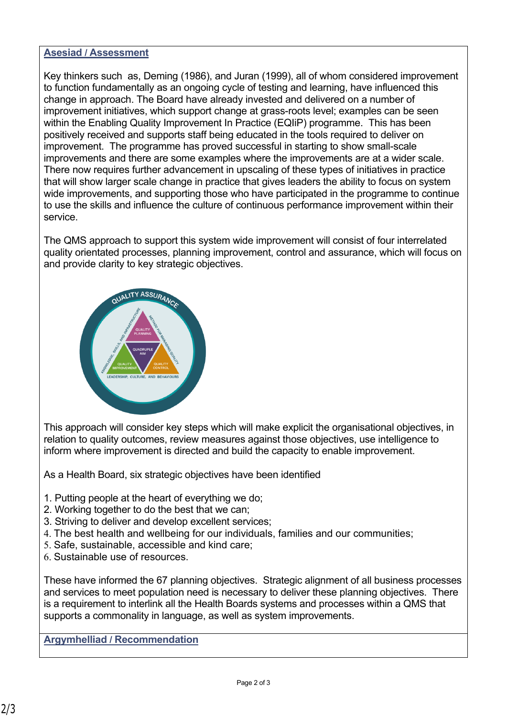#### **Asesiad / Assessment**

Key thinkers such as, Deming (1986), and Juran (1999), all of whom considered improvement to function fundamentally as an ongoing cycle of testing and learning, have influenced this change in approach. The Board have already invested and delivered on a number of improvement initiatives, which support change at grass-roots level; examples can be seen within the Enabling Quality Improvement In Practice (EQIiP) programme. This has been positively received and supports staff being educated in the tools required to deliver on improvement. The programme has proved successful in starting to show small-scale improvements and there are some examples where the improvements are at a wider scale. There now requires further advancement in upscaling of these types of initiatives in practice that will show larger scale change in practice that gives leaders the ability to focus on system wide improvements, and supporting those who have participated in the programme to continue to use the skills and influence the culture of continuous performance improvement within their service.

The QMS approach to support this system wide improvement will consist of four interrelated quality orientated processes, planning improvement, control and assurance, which will focus on and provide clarity to key strategic objectives.



This approach will consider key steps which will make explicit the organisational objectives, in relation to quality outcomes, review measures against those objectives, use intelligence to inform where improvement is directed and build the capacity to enable improvement.

As a Health Board, six strategic objectives have been identified

- 1. Putting people at the heart of everything we do;
- 2. Working together to do the best that we can;
- 3. Striving to deliver and develop excellent services;
- 4. The best health and wellbeing for our individuals, families and our communities;
- 5. Safe, sustainable, accessible and kind care;
- 6. Sustainable use of resources.

These have informed the 67 planning objectives. Strategic alignment of all business processes and services to meet population need is necessary to deliver these planning objectives. There is a requirement to interlink all the Health Boards systems and processes within a QMS that supports a commonality in language, as well as system improvements.

# **Argymhelliad / Recommendation**